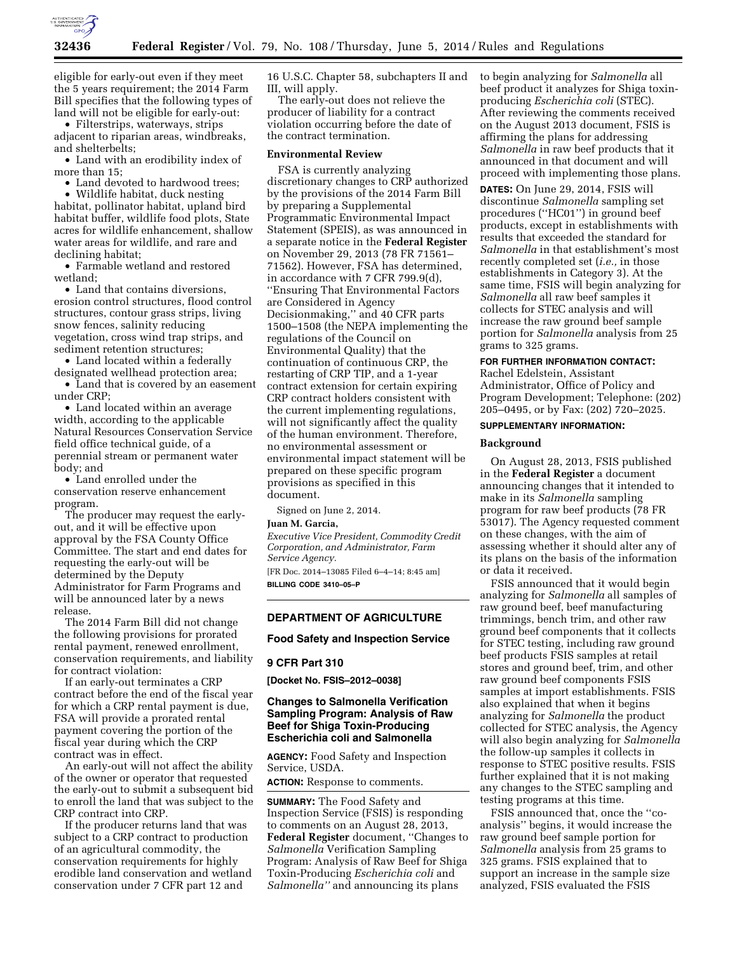

eligible for early-out even if they meet the 5 years requirement; the 2014 Farm Bill specifies that the following types of land will not be eligible for early-out:

• Filterstrips, waterways, strips adjacent to riparian areas, windbreaks, and shelterbelts;

• Land with an erodibility index of more than 15;

• Land devoted to hardwood trees;

• Wildlife habitat, duck nesting habitat, pollinator habitat, upland bird habitat buffer, wildlife food plots, State acres for wildlife enhancement, shallow water areas for wildlife, and rare and declining habitat;

• Farmable wetland and restored wetland;

• Land that contains diversions, erosion control structures, flood control structures, contour grass strips, living snow fences, salinity reducing vegetation, cross wind trap strips, and sediment retention structures;

• Land located within a federally designated wellhead protection area;

• Land that is covered by an easement under CRP;

• Land located within an average width, according to the applicable Natural Resources Conservation Service field office technical guide, of a perennial stream or permanent water body; and

• Land enrolled under the conservation reserve enhancement program.

The producer may request the earlyout, and it will be effective upon approval by the FSA County Office Committee. The start and end dates for requesting the early-out will be determined by the Deputy Administrator for Farm Programs and will be announced later by a news release.

The 2014 Farm Bill did not change the following provisions for prorated rental payment, renewed enrollment, conservation requirements, and liability for contract violation:

If an early-out terminates a CRP contract before the end of the fiscal year for which a CRP rental payment is due, FSA will provide a prorated rental payment covering the portion of the fiscal year during which the CRP contract was in effect.

An early-out will not affect the ability of the owner or operator that requested the early-out to submit a subsequent bid to enroll the land that was subject to the CRP contract into CRP.

If the producer returns land that was subject to a CRP contract to production of an agricultural commodity, the conservation requirements for highly erodible land conservation and wetland conservation under 7 CFR part 12 and

16 U.S.C. Chapter 58, subchapters II and III, will apply.

The early-out does not relieve the producer of liability for a contract violation occurring before the date of the contract termination.

#### **Environmental Review**

FSA is currently analyzing discretionary changes to CRP authorized by the provisions of the 2014 Farm Bill by preparing a Supplemental Programmatic Environmental Impact Statement (SPEIS), as was announced in a separate notice in the **Federal Register**  on November 29, 2013 (78 FR 71561– 71562). However, FSA has determined, in accordance with 7 CFR 799.9(d), ''Ensuring That Environmental Factors are Considered in Agency Decisionmaking,'' and 40 CFR parts 1500–1508 (the NEPA implementing the regulations of the Council on Environmental Quality) that the continuation of continuous CRP, the restarting of CRP TIP, and a 1-year contract extension for certain expiring CRP contract holders consistent with the current implementing regulations, will not significantly affect the quality of the human environment. Therefore, no environmental assessment or environmental impact statement will be prepared on these specific program provisions as specified in this document.

Signed on June 2, 2014.

#### **Juan M. Garcia,**

*Executive Vice President, Commodity Credit Corporation, and Administrator, Farm Service Agency.* 

[FR Doc. 2014–13085 Filed 6–4–14; 8:45 am] **BILLING CODE 3410–05–P** 

### **DEPARTMENT OF AGRICULTURE**

**Food Safety and Inspection Service** 

#### **9 CFR Part 310**

**[Docket No. FSIS–2012–0038]** 

# **Changes to Salmonella Verification Sampling Program: Analysis of Raw Beef for Shiga Toxin-Producing Escherichia coli and Salmonella**

**AGENCY:** Food Safety and Inspection Service, USDA.

**ACTION:** Response to comments.

**SUMMARY:** The Food Safety and Inspection Service (FSIS) is responding to comments on an August 28, 2013, **Federal Register** document, ''Changes to *Salmonella* Verification Sampling Program: Analysis of Raw Beef for Shiga Toxin-Producing *Escherichia coli* and *Salmonella''* and announcing its plans

to begin analyzing for *Salmonella* all beef product it analyzes for Shiga toxinproducing *Escherichia coli* (STEC). After reviewing the comments received on the August 2013 document, FSIS is affirming the plans for addressing *Salmonella* in raw beef products that it announced in that document and will proceed with implementing those plans.

**DATES:** On June 29, 2014, FSIS will discontinue *Salmonella* sampling set procedures (''HC01'') in ground beef products, except in establishments with results that exceeded the standard for *Salmonella* in that establishment's most recently completed set (*i.e.,* in those establishments in Category 3). At the same time, FSIS will begin analyzing for *Salmonella* all raw beef samples it collects for STEC analysis and will increase the raw ground beef sample portion for *Salmonella* analysis from 25 grams to 325 grams.

### **FOR FURTHER INFORMATION CONTACT:**

Rachel Edelstein, Assistant Administrator, Office of Policy and Program Development; Telephone: (202) 205–0495, or by Fax: (202) 720–2025.

# **SUPPLEMENTARY INFORMATION:**

#### **Background**

On August 28, 2013, FSIS published in the **Federal Register** a document announcing changes that it intended to make in its *Salmonella* sampling program for raw beef products (78 FR 53017). The Agency requested comment on these changes, with the aim of assessing whether it should alter any of its plans on the basis of the information or data it received.

FSIS announced that it would begin analyzing for *Salmonella* all samples of raw ground beef, beef manufacturing trimmings, bench trim, and other raw ground beef components that it collects for STEC testing, including raw ground beef products FSIS samples at retail stores and ground beef, trim, and other raw ground beef components FSIS samples at import establishments. FSIS also explained that when it begins analyzing for *Salmonella* the product collected for STEC analysis, the Agency will also begin analyzing for *Salmonella*  the follow-up samples it collects in response to STEC positive results. FSIS further explained that it is not making any changes to the STEC sampling and testing programs at this time.

FSIS announced that, once the ''coanalysis'' begins, it would increase the raw ground beef sample portion for *Salmonella* analysis from 25 grams to 325 grams. FSIS explained that to support an increase in the sample size analyzed, FSIS evaluated the FSIS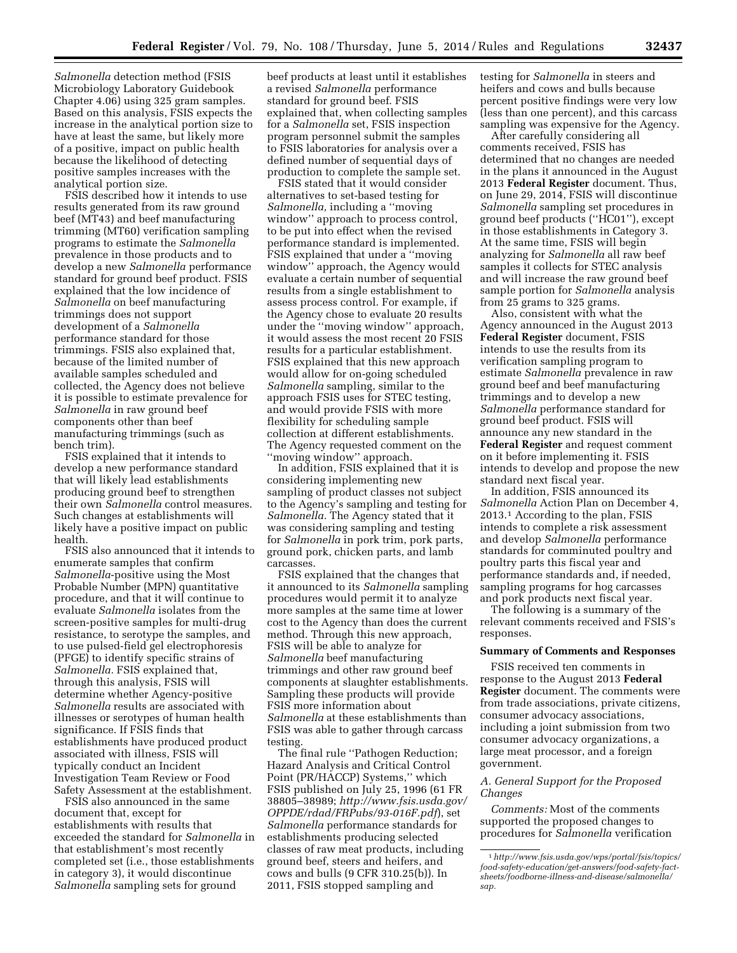*Salmonella* detection method (FSIS Microbiology Laboratory Guidebook Chapter 4.06) using 325 gram samples. Based on this analysis, FSIS expects the increase in the analytical portion size to have at least the same, but likely more of a positive, impact on public health because the likelihood of detecting positive samples increases with the analytical portion size.

FSIS described how it intends to use results generated from its raw ground beef (MT43) and beef manufacturing trimming (MT60) verification sampling programs to estimate the *Salmonella*  prevalence in those products and to develop a new *Salmonella* performance standard for ground beef product. FSIS explained that the low incidence of *Salmonella* on beef manufacturing trimmings does not support development of a *Salmonella*  performance standard for those trimmings. FSIS also explained that, because of the limited number of available samples scheduled and collected, the Agency does not believe it is possible to estimate prevalence for *Salmonella* in raw ground beef components other than beef manufacturing trimmings (such as bench trim).

FSIS explained that it intends to develop a new performance standard that will likely lead establishments producing ground beef to strengthen their own *Salmonella* control measures. Such changes at establishments will likely have a positive impact on public health.

FSIS also announced that it intends to enumerate samples that confirm *Salmonella*-positive using the Most Probable Number (MPN) quantitative procedure, and that it will continue to evaluate *Salmonella* isolates from the screen-positive samples for multi-drug resistance, to serotype the samples, and to use pulsed-field gel electrophoresis (PFGE) to identify specific strains of *Salmonella.* FSIS explained that, through this analysis, FSIS will determine whether Agency-positive *Salmonella* results are associated with illnesses or serotypes of human health significance. If FSIS finds that establishments have produced product associated with illness, FSIS will typically conduct an Incident Investigation Team Review or Food Safety Assessment at the establishment.

FSIS also announced in the same document that, except for establishments with results that exceeded the standard for *Salmonella* in that establishment's most recently completed set (i.e., those establishments in category 3), it would discontinue *Salmonella* sampling sets for ground

beef products at least until it establishes a revised *Salmonella* performance standard for ground beef. FSIS explained that, when collecting samples for a *Salmonella* set, FSIS inspection program personnel submit the samples to FSIS laboratories for analysis over a defined number of sequential days of production to complete the sample set.

FSIS stated that it would consider alternatives to set-based testing for *Salmonella,* including a ''moving window'' approach to process control, to be put into effect when the revised performance standard is implemented. FSIS explained that under a ''moving window'' approach, the Agency would evaluate a certain number of sequential results from a single establishment to assess process control. For example, if the Agency chose to evaluate 20 results under the ''moving window'' approach, it would assess the most recent 20 FSIS results for a particular establishment. FSIS explained that this new approach would allow for on-going scheduled *Salmonella* sampling, similar to the approach FSIS uses for STEC testing, and would provide FSIS with more flexibility for scheduling sample collection at different establishments. The Agency requested comment on the ''moving window'' approach.

In addition, FSIS explained that it is considering implementing new sampling of product classes not subject to the Agency's sampling and testing for *Salmonella.* The Agency stated that it was considering sampling and testing for *Salmonella* in pork trim, pork parts, ground pork, chicken parts, and lamb carcasses.

FSIS explained that the changes that it announced to its *Salmonella* sampling procedures would permit it to analyze more samples at the same time at lower cost to the Agency than does the current method. Through this new approach, FSIS will be able to analyze for *Salmonella* beef manufacturing trimmings and other raw ground beef components at slaughter establishments. Sampling these products will provide FSIS more information about *Salmonella* at these establishments than FSIS was able to gather through carcass testing.

The final rule ''Pathogen Reduction; Hazard Analysis and Critical Control Point (PR/HACCP) Systems,'' which FSIS published on July 25, 1996 (61 FR 38805–38989; *[http://www.fsis.usda.gov/](http://www.fsis.usda.gov/OPPDE/rdad/FRPubs/93-016F.pdf) [OPPDE/rdad/FRPubs/93-016F.pdf](http://www.fsis.usda.gov/OPPDE/rdad/FRPubs/93-016F.pdf)*), set *Salmonella* performance standards for establishments producing selected classes of raw meat products, including ground beef, steers and heifers, and cows and bulls (9 CFR 310.25(b)). In 2011, FSIS stopped sampling and

testing for *Salmonella* in steers and heifers and cows and bulls because percent positive findings were very low (less than one percent), and this carcass sampling was expensive for the Agency.

After carefully considering all comments received, FSIS has determined that no changes are needed in the plans it announced in the August 2013 **Federal Register** document. Thus, on June 29, 2014, FSIS will discontinue *Salmonella* sampling set procedures in ground beef products (''HC01''), except in those establishments in Category 3. At the same time, FSIS will begin analyzing for *Salmonella* all raw beef samples it collects for STEC analysis and will increase the raw ground beef sample portion for *Salmonella* analysis from 25 grams to 325 grams.

Also, consistent with what the Agency announced in the August 2013 **Federal Register** document, FSIS intends to use the results from its verification sampling program to estimate *Salmonella* prevalence in raw ground beef and beef manufacturing trimmings and to develop a new *Salmonella* performance standard for ground beef product. FSIS will announce any new standard in the **Federal Register** and request comment on it before implementing it. FSIS intends to develop and propose the new standard next fiscal year.

In addition, FSIS announced its *Salmonella* Action Plan on December 4, 2013.1 According to the plan, FSIS intends to complete a risk assessment and develop *Salmonella* performance standards for comminuted poultry and poultry parts this fiscal year and performance standards and, if needed, sampling programs for hog carcasses and pork products next fiscal year.

The following is a summary of the relevant comments received and FSIS's responses.

## **Summary of Comments and Responses**

FSIS received ten comments in response to the August 2013 **Federal Register** document. The comments were from trade associations, private citizens, consumer advocacy associations, including a joint submission from two consumer advocacy organizations, a large meat processor, and a foreign government.

# *A. General Support for the Proposed Changes*

*Comments:* Most of the comments supported the proposed changes to procedures for *Salmonella* verification

<sup>1</sup>*[http://www.fsis.usda.gov/wps/portal/fsis/topics/](http://www.fsis.usda.gov/wps/portal/fsis/topics/food-safety-education/get-answers/food-safety-fact-sheets/foodborne-illness-and-disease/salmonella/sap) [food-safety-education/get-answers/food-safety-fact](http://www.fsis.usda.gov/wps/portal/fsis/topics/food-safety-education/get-answers/food-safety-fact-sheets/foodborne-illness-and-disease/salmonella/sap)[sheets/foodborne-illness-and-disease/salmonella/](http://www.fsis.usda.gov/wps/portal/fsis/topics/food-safety-education/get-answers/food-safety-fact-sheets/foodborne-illness-and-disease/salmonella/sap) [sap.](http://www.fsis.usda.gov/wps/portal/fsis/topics/food-safety-education/get-answers/food-safety-fact-sheets/foodborne-illness-and-disease/salmonella/sap)*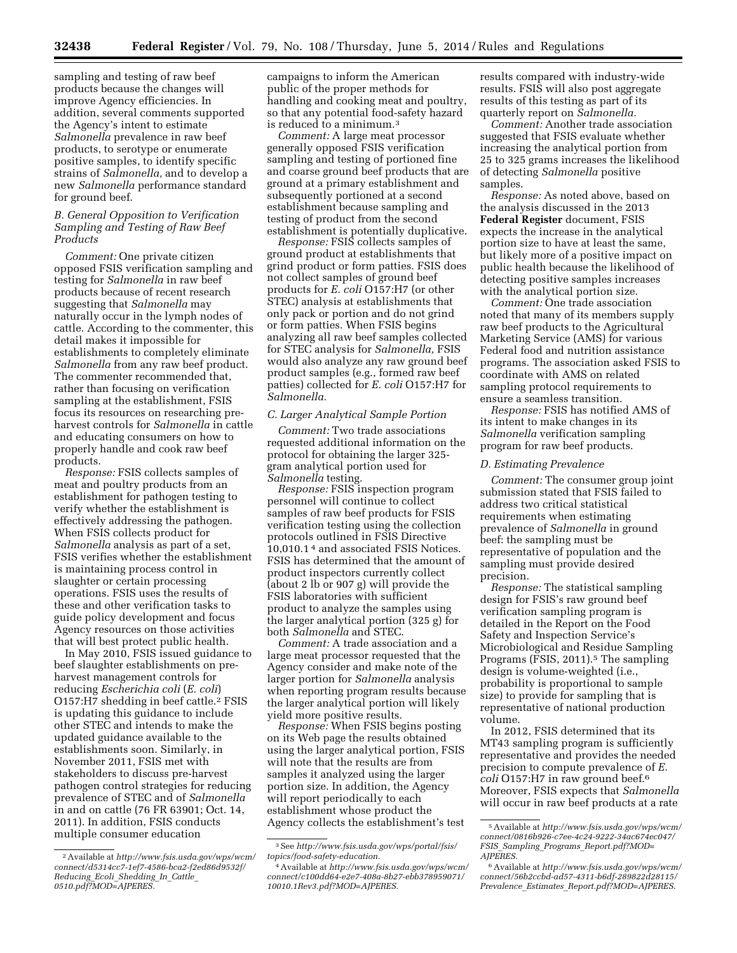sampling and testing of raw beef products because the changes will improve Agency efficiencies. In addition, several comments supported the Agency's intent to estimate *Salmonella* prevalence in raw beef products, to serotype or enumerate positive samples, to identify specific strains of *Salmonella,* and to develop a new *Salmonella* performance standard for ground beef.

# *B. General Opposition to Verification Sampling and Testing of Raw Beef Products*

*Comment:* One private citizen opposed FSIS verification sampling and testing for *Salmonella* in raw beef products because of recent research suggesting that *Salmonella* may naturally occur in the lymph nodes of cattle. According to the commenter, this detail makes it impossible for establishments to completely eliminate *Salmonella* from any raw beef product. The commenter recommended that, rather than focusing on verification sampling at the establishment, FSIS focus its resources on researching preharvest controls for *Salmonella* in cattle and educating consumers on how to properly handle and cook raw beef products.

*Response:* FSIS collects samples of meat and poultry products from an establishment for pathogen testing to verify whether the establishment is effectively addressing the pathogen. When FSIS collects product for *Salmonella* analysis as part of a set, FSIS verifies whether the establishment is maintaining process control in slaughter or certain processing operations. FSIS uses the results of these and other verification tasks to guide policy development and focus Agency resources on those activities that will best protect public health.

In May 2010, FSIS issued guidance to beef slaughter establishments on preharvest management controls for reducing *Escherichia coli* (*E. coli*) O157:H7 shedding in beef cattle.2 FSIS is updating this guidance to include other STEC and intends to make the updated guidance available to the establishments soon. Similarly, in November 2011, FSIS met with stakeholders to discuss pre-harvest pathogen control strategies for reducing prevalence of STEC and of *Salmonella*  in and on cattle (76 FR 63901; Oct. 14, 2011). In addition, FSIS conducts multiple consumer education

campaigns to inform the American public of the proper methods for handling and cooking meat and poultry, so that any potential food-safety hazard is reduced to a minimum.3

*Comment:* A large meat processor generally opposed FSIS verification sampling and testing of portioned fine and coarse ground beef products that are ground at a primary establishment and subsequently portioned at a second establishment because sampling and testing of product from the second establishment is potentially duplicative.

*Response:* FSIS collects samples of ground product at establishments that grind product or form patties. FSIS does not collect samples of ground beef products for *E. coli* O157:H7 (or other STEC) analysis at establishments that only pack or portion and do not grind or form patties. When FSIS begins analyzing all raw beef samples collected for STEC analysis for *Salmonella,* FSIS would also analyze any raw ground beef product samples (e.g., formed raw beef patties) collected for *E. coli* O157:H7 for *Salmonella.* 

# *C. Larger Analytical Sample Portion*

*Comment:* Two trade associations requested additional information on the protocol for obtaining the larger 325 gram analytical portion used for *Salmonella* testing.

*Response:* FSIS inspection program personnel will continue to collect samples of raw beef products for FSIS verification testing using the collection protocols outlined in FSIS Directive 10,010.1 4 and associated FSIS Notices. FSIS has determined that the amount of product inspectors currently collect (about 2 lb or 907 g) will provide the FSIS laboratories with sufficient product to analyze the samples using the larger analytical portion (325 g) for both *Salmonella* and STEC.

*Comment:* A trade association and a large meat processor requested that the Agency consider and make note of the larger portion for *Salmonella* analysis when reporting program results because the larger analytical portion will likely yield more positive results.

*Response:* When FSIS begins posting on its Web page the results obtained using the larger analytical portion, FSIS will note that the results are from samples it analyzed using the larger portion size. In addition, the Agency will report periodically to each establishment whose product the Agency collects the establishment's test results compared with industry-wide results. FSIS will also post aggregate results of this testing as part of its quarterly report on *Salmonella.* 

*Comment:* Another trade association suggested that FSIS evaluate whether increasing the analytical portion from 25 to 325 grams increases the likelihood of detecting *Salmonella* positive samples.

*Response:* As noted above, based on the analysis discussed in the 2013 **Federal Register** document, FSIS expects the increase in the analytical portion size to have at least the same, but likely more of a positive impact on public health because the likelihood of detecting positive samples increases with the analytical portion size.

*Comment:* One trade association noted that many of its members supply raw beef products to the Agricultural Marketing Service (AMS) for various Federal food and nutrition assistance programs. The association asked FSIS to coordinate with AMS on related sampling protocol requirements to ensure a seamless transition.

*Response:* FSIS has notified AMS of its intent to make changes in its *Salmonella* verification sampling program for raw beef products.

## *D. Estimating Prevalence*

*Comment:* The consumer group joint submission stated that FSIS failed to address two critical statistical requirements when estimating prevalence of *Salmonella* in ground beef: the sampling must be representative of population and the sampling must provide desired precision.

*Response:* The statistical sampling design for FSIS's raw ground beef verification sampling program is detailed in the Report on the Food Safety and Inspection Service's Microbiological and Residue Sampling Programs (FSIS, 2011).<sup>5</sup> The sampling design is volume-weighted (i.e., probability is proportional to sample size) to provide for sampling that is representative of national production volume.

In 2012, FSIS determined that its MT43 sampling program is sufficiently representative and provides the needed precision to compute prevalence of *E. coli* O157:H7 in raw ground beef.6 Moreover, FSIS expects that *Salmonella*  will occur in raw beef products at a rate

<sup>2</sup>Available at *[http://www.fsis.usda.gov/wps/wcm/](http://www.fsis.usda.gov/wps/wcm/connect/d5314cc7-1ef7-4586-bca2-f2ed86d9532f/Reducing_Ecoli_Shedding_In_Cattle_0510.pdf?MOD=AJPERES) [connect/d5314cc7-1ef7-4586-bca2-f2ed86d9532f/](http://www.fsis.usda.gov/wps/wcm/connect/d5314cc7-1ef7-4586-bca2-f2ed86d9532f/Reducing_Ecoli_Shedding_In_Cattle_0510.pdf?MOD=AJPERES) Reducing*\_*Ecoli*\_*[Shedding](http://www.fsis.usda.gov/wps/wcm/connect/d5314cc7-1ef7-4586-bca2-f2ed86d9532f/Reducing_Ecoli_Shedding_In_Cattle_0510.pdf?MOD=AJPERES)*\_*In*\_*Cattle*\_ *[0510.pdf?MOD=AJPERES.](http://www.fsis.usda.gov/wps/wcm/connect/d5314cc7-1ef7-4586-bca2-f2ed86d9532f/Reducing_Ecoli_Shedding_In_Cattle_0510.pdf?MOD=AJPERES)* 

<sup>3</sup>See *[http://www.fsis.usda.gov/wps/portal/fsis/](http://www.fsis.usda.gov/wps/portal/fsis/topics/food-safety-education) [topics/food-safety-education.](http://www.fsis.usda.gov/wps/portal/fsis/topics/food-safety-education)* 

<sup>4</sup>Available at *[http://www.fsis.usda.gov/wps/wcm/](http://www.fsis.usda.gov/wps/wcm/connect/c100dd64-e2e7-408a-8b27-ebb378959071/10010.1Rev3.pdf?MOD=AJPERES) [connect/c100dd64-e2e7-408a-8b27-ebb378959071/](http://www.fsis.usda.gov/wps/wcm/connect/c100dd64-e2e7-408a-8b27-ebb378959071/10010.1Rev3.pdf?MOD=AJPERES) [10010.1Rev3.pdf?MOD=AJPERES.](http://www.fsis.usda.gov/wps/wcm/connect/c100dd64-e2e7-408a-8b27-ebb378959071/10010.1Rev3.pdf?MOD=AJPERES)* 

<sup>5</sup>Available at *[http://www.fsis.usda.gov/wps/wcm/](http://www.fsis.usda.gov/wps/wcm/connect/0816b926-c7ee-4c24-9222-34ac674ec047/FSIS_Sampling_Programs_Report.pdf?MOD=AJPERES) [connect/0816b926-c7ee-4c24-9222-34ac674ec047/](http://www.fsis.usda.gov/wps/wcm/connect/0816b926-c7ee-4c24-9222-34ac674ec047/FSIS_Sampling_Programs_Report.pdf?MOD=AJPERES) FSIS*\_*Sampling*\_*Programs*\_*[Report.pdf?MOD=](http://www.fsis.usda.gov/wps/wcm/connect/0816b926-c7ee-4c24-9222-34ac674ec047/FSIS_Sampling_Programs_Report.pdf?MOD=AJPERES) [AJPERES](http://www.fsis.usda.gov/wps/wcm/connect/0816b926-c7ee-4c24-9222-34ac674ec047/FSIS_Sampling_Programs_Report.pdf?MOD=AJPERES)*.

<sup>6</sup>Available at *[http://www.fsis.usda.gov/wps/wcm/](http://www.fsis.usda.gov/wps/wcm/connect/56b2ccbd-ad57-4311-b6df-289822d28115/Prevalence_Estimates_Report.pdf?MOD=AJPERES) [connect/56b2ccbd-ad57-4311-b6df-289822d28115/](http://www.fsis.usda.gov/wps/wcm/connect/56b2ccbd-ad57-4311-b6df-289822d28115/Prevalence_Estimates_Report.pdf?MOD=AJPERES) Prevalence*\_*Estimates*\_*[Report.pdf?MOD=AJPERES](http://www.fsis.usda.gov/wps/wcm/connect/56b2ccbd-ad57-4311-b6df-289822d28115/Prevalence_Estimates_Report.pdf?MOD=AJPERES)*.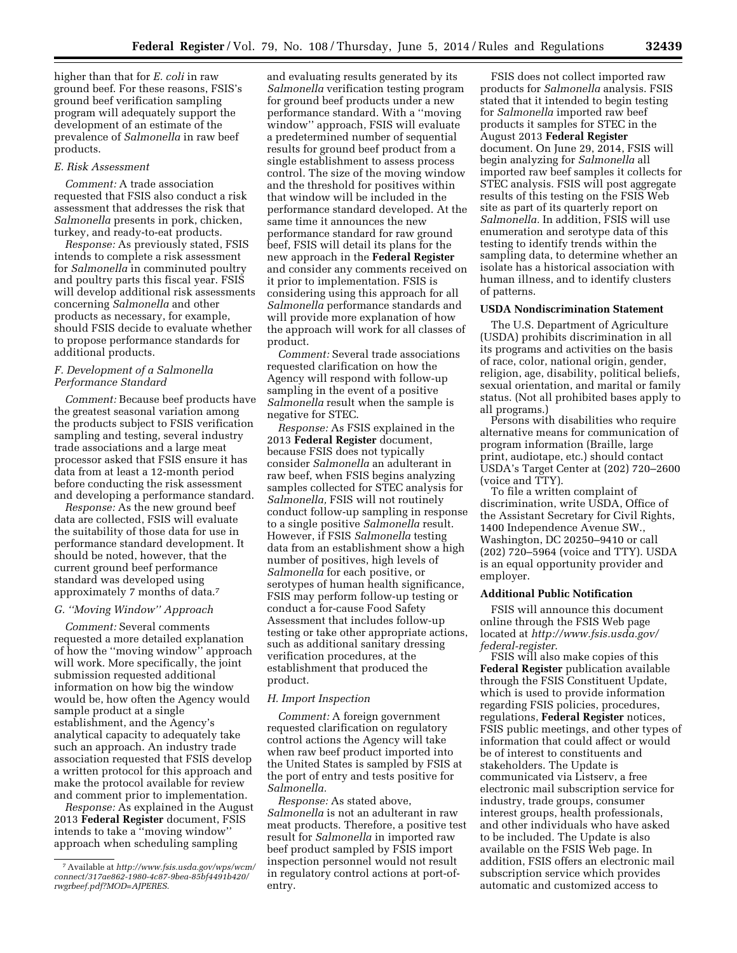higher than that for *E. coli* in raw ground beef. For these reasons, FSIS's ground beef verification sampling program will adequately support the development of an estimate of the prevalence of *Salmonella* in raw beef products.

#### *E. Risk Assessment*

*Comment:* A trade association requested that FSIS also conduct a risk assessment that addresses the risk that *Salmonella* presents in pork, chicken, turkey, and ready-to-eat products.

*Response:* As previously stated, FSIS intends to complete a risk assessment for *Salmonella* in comminuted poultry and poultry parts this fiscal year. FSIS will develop additional risk assessments concerning *Salmonella* and other products as necessary, for example, should FSIS decide to evaluate whether to propose performance standards for additional products.

# *F. Development of a Salmonella Performance Standard*

*Comment:* Because beef products have the greatest seasonal variation among the products subject to FSIS verification sampling and testing, several industry trade associations and a large meat processor asked that FSIS ensure it has data from at least a 12-month period before conducting the risk assessment and developing a performance standard.

*Response:* As the new ground beef data are collected, FSIS will evaluate the suitability of those data for use in performance standard development. It should be noted, however, that the current ground beef performance standard was developed using approximately 7 months of data.7

## *G. ''Moving Window'' Approach*

*Comment:* Several comments requested a more detailed explanation of how the ''moving window'' approach will work. More specifically, the joint submission requested additional information on how big the window would be, how often the Agency would sample product at a single establishment, and the Agency's analytical capacity to adequately take such an approach. An industry trade association requested that FSIS develop a written protocol for this approach and make the protocol available for review and comment prior to implementation.

*Response:* As explained in the August 2013 **Federal Register** document, FSIS intends to take a ''moving window'' approach when scheduling sampling

and evaluating results generated by its *Salmonella* verification testing program for ground beef products under a new performance standard. With a ''moving window'' approach, FSIS will evaluate a predetermined number of sequential results for ground beef product from a single establishment to assess process control. The size of the moving window and the threshold for positives within that window will be included in the performance standard developed. At the same time it announces the new performance standard for raw ground beef, FSIS will detail its plans for the new approach in the **Federal Register**  and consider any comments received on it prior to implementation. FSIS is considering using this approach for all *Salmonella* performance standards and will provide more explanation of how the approach will work for all classes of product.

*Comment:* Several trade associations requested clarification on how the Agency will respond with follow-up sampling in the event of a positive *Salmonella* result when the sample is negative for STEC.

*Response:* As FSIS explained in the 2013 **Federal Register** document, because FSIS does not typically consider *Salmonella* an adulterant in raw beef, when FSIS begins analyzing samples collected for STEC analysis for *Salmonella,* FSIS will not routinely conduct follow-up sampling in response to a single positive *Salmonella* result. However, if FSIS *Salmonella* testing data from an establishment show a high number of positives, high levels of *Salmonella* for each positive, or serotypes of human health significance, FSIS may perform follow-up testing or conduct a for-cause Food Safety Assessment that includes follow-up testing or take other appropriate actions, such as additional sanitary dressing verification procedures, at the establishment that produced the product.

#### *H. Import Inspection*

*Comment:* A foreign government requested clarification on regulatory control actions the Agency will take when raw beef product imported into the United States is sampled by FSIS at the port of entry and tests positive for *Salmonella.* 

*Response:* As stated above, *Salmonella* is not an adulterant in raw meat products. Therefore, a positive test result for *Salmonella* in imported raw beef product sampled by FSIS import inspection personnel would not result in regulatory control actions at port-ofentry.

FSIS does not collect imported raw products for *Salmonella* analysis. FSIS stated that it intended to begin testing for *Salmonella* imported raw beef products it samples for STEC in the August 2013 **Federal Register**  document. On June 29, 2014, FSIS will begin analyzing for *Salmonella* all imported raw beef samples it collects for STEC analysis. FSIS will post aggregate results of this testing on the FSIS Web site as part of its quarterly report on *Salmonella.* In addition, FSIS will use enumeration and serotype data of this testing to identify trends within the sampling data, to determine whether an isolate has a historical association with human illness, and to identify clusters of patterns.

#### **USDA Nondiscrimination Statement**

The U.S. Department of Agriculture (USDA) prohibits discrimination in all its programs and activities on the basis of race, color, national origin, gender, religion, age, disability, political beliefs, sexual orientation, and marital or family status. (Not all prohibited bases apply to all programs.)

Persons with disabilities who require alternative means for communication of program information (Braille, large print, audiotape, etc.) should contact USDA's Target Center at (202) 720–2600 (voice and TTY).

To file a written complaint of discrimination, write USDA, Office of the Assistant Secretary for Civil Rights, 1400 Independence Avenue SW., Washington, DC 20250–9410 or call (202) 720–5964 (voice and TTY). USDA is an equal opportunity provider and employer.

### **Additional Public Notification**

FSIS will announce this document online through the FSIS Web page located at *[http://www.fsis.usda.gov/](http://www.fsis.usda.gov/federal-register) [federal-register](http://www.fsis.usda.gov/federal-register)*.

FSIS will also make copies of this **Federal Register** publication available through the FSIS Constituent Update, which is used to provide information regarding FSIS policies, procedures, regulations, **Federal Register** notices, FSIS public meetings, and other types of information that could affect or would be of interest to constituents and stakeholders. The Update is communicated via Listserv, a free electronic mail subscription service for industry, trade groups, consumer interest groups, health professionals, and other individuals who have asked to be included. The Update is also available on the FSIS Web page. In addition, FSIS offers an electronic mail subscription service which provides automatic and customized access to

<sup>7</sup>Available at *[http://www.fsis.usda.gov/wps/wcm/](http://www.fsis.usda.gov/wps/wcm/connect/317ae862-1980-4c87-9bea-85bf4491b420/rwgrbeef.pdf?MOD=AJPERES) [connect/317ae862-1980-4c87-9bea-85bf4491b420/](http://www.fsis.usda.gov/wps/wcm/connect/317ae862-1980-4c87-9bea-85bf4491b420/rwgrbeef.pdf?MOD=AJPERES) [rwgrbeef.pdf?MOD=AJPERES](http://www.fsis.usda.gov/wps/wcm/connect/317ae862-1980-4c87-9bea-85bf4491b420/rwgrbeef.pdf?MOD=AJPERES)*.